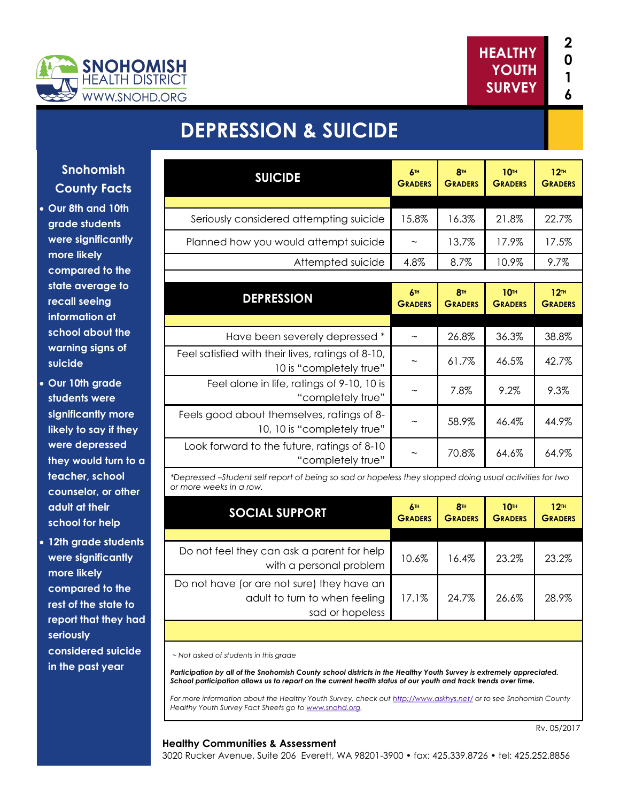

# **DEPRESSION & SUICIDE**

| <b>Snohomish</b>                             | <b>SUICIDE</b>                                                                                                                     | 6™                        | <b>8TH</b>                        | 10 <sup>m</sup>                    | 12 <sup>TH</sup>                   |
|----------------------------------------------|------------------------------------------------------------------------------------------------------------------------------------|---------------------------|-----------------------------------|------------------------------------|------------------------------------|
| <b>County Facts</b>                          |                                                                                                                                    | <b>GRADERS</b>            | <b>GRADERS</b>                    | <b>GRADERS</b>                     | <b>GRADERS</b>                     |
| • Our 8th and 10th                           |                                                                                                                                    |                           |                                   |                                    |                                    |
| grade students                               | Seriously considered attempting suicide                                                                                            | 15.8%                     | 16.3%                             | 21.8%                              | 22.7%                              |
| were significantly                           | Planned how you would attempt suicide                                                                                              | $\widetilde{\phantom{m}}$ | 13.7%                             | 17.9%                              | 17.5%                              |
| more likely                                  | Attempted suicide                                                                                                                  | 4.8%                      | 8.7%                              | 10.9%                              | 9.7%                               |
| compared to the                              |                                                                                                                                    |                           |                                   |                                    |                                    |
| state average to<br>recall seeing            | <b>DEPRESSION</b>                                                                                                                  | 6™<br><b>GRADERS</b>      | <b>8TH</b><br><b>GRADERS</b>      | 10 <sup>th</sup><br><b>GRADERS</b> | 12 <sup>TH</sup><br><b>GRADERS</b> |
| information at                               |                                                                                                                                    |                           |                                   |                                    |                                    |
| school about the                             | Have been severely depressed *                                                                                                     | $\widetilde{\phantom{m}}$ | 26.8%                             | 36.3%                              | 38.8%                              |
| warning signs of<br>suicide                  | Feel satisfied with their lives, ratings of 8-10,<br>10 is "completely true"                                                       | $\tilde{\phantom{a}}$     | 61.7%                             | 46.5%                              | 42.7%                              |
| • Our 10th grade<br>students were            | Feel alone in life, ratings of 9-10, 10 is<br>"completely true"                                                                    | $\tilde{\phantom{a}}$     | 7.8%                              | 9.2%                               | 9.3%                               |
| significantly more<br>likely to say if they  | Feels good about themselves, ratings of 8-<br>10, 10 is "completely true"                                                          | $\tilde{\phantom{a}}$     | 58.9%                             | 46.4%                              | 44.9%                              |
| were depressed<br>they would turn to a       | Look forward to the future, ratings of 8-10<br>"completely true"                                                                   | $\widetilde{\phantom{m}}$ | 70.8%                             | 64.6%                              | 64.9%                              |
| teacher, school<br>counselor, or other       | *Depressed -Student self report of being so sad or hopeless they stopped doing usual activities for two<br>or more weeks in a row. |                           |                                   |                                    |                                    |
| adult at their<br>school for help            | <b>SOCIAL SUPPORT</b>                                                                                                              | 6™<br><b>GRADERS</b>      | 8 <sup>TH</sup><br><b>GRADERS</b> | <b>10TH</b><br><b>GRADERS</b>      | 12 <sup>TH</sup><br><b>GRADERS</b> |
| وبالمتربط المراجلين والمراجع ويتمرح واللاهلة |                                                                                                                                    |                           |                                   |                                    |                                    |

 **12th grade students were significantly more likely compared to the rest of the state to report that they had seriously considered suicide in the past year**

Do not feel they can ask a parent for help with a personal problem 10.6% 16.4% 23.2% 23.2% Do not have (or are not sure) they have an adult to turn to when feeling sad or hopeless 17.1% 24.7% 26.6% 28.9%

*~ Not asked of students in this grade*

*Participation by all of the Snohomish County school districts in the Healthy Youth Survey is extremely appreciated. School participation allows us to report on the current health status of our youth and track trends over time.*

*For more information about the Healthy Youth Survey, check out<http://www.askhys.net/> or to see Snohomish County Healthy Youth Survey Fact Sheets go to [www.snohd.org.](http://www.snohd.org/)* 

#### **Healthy Communities & Assessment**

Rv. 05/2017

3020 Rucker Avenue, Suite 206 Everett, WA 98201-3900 • fax: 425.339.8726 • tel: 425.252.8856